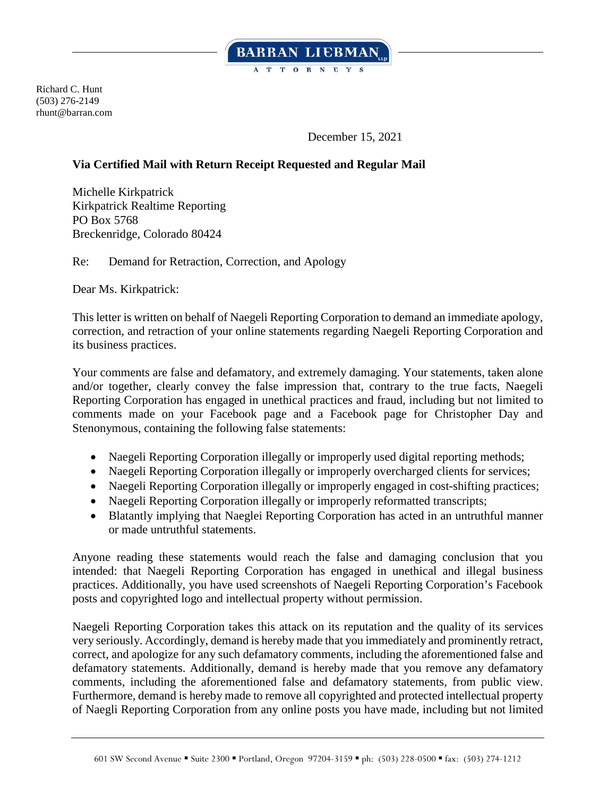

Richard C. Hunt (503) 276-2149 rhunt@barran.com

December 15, 2021

## **Via Certified Mail with Return Receipt Requested and Regular Mail**

Michelle Kirkpatrick Kirkpatrick Realtime Reporting PO Box 5768 Breckenridge, Colorado 80424

Re: Demand for Retraction, Correction, and Apology

Dear Ms. Kirkpatrick:

This letter is written on behalf of Naegeli Reporting Corporation to demand an immediate apology, correction, and retraction of your online statements regarding Naegeli Reporting Corporation and its business practices.

Your comments are false and defamatory, and extremely damaging. Your statements, taken alone and/or together, clearly convey the false impression that, contrary to the true facts, Naegeli Reporting Corporation has engaged in unethical practices and fraud, including but not limited to comments made on your Facebook page and a Facebook page for Christopher Day and Stenonymous, containing the following false statements:

- Naegeli Reporting Corporation illegally or improperly used digital reporting methods;
- Naegeli Reporting Corporation illegally or improperly overcharged clients for services;
- Naegeli Reporting Corporation illegally or improperly engaged in cost-shifting practices;
- Naegeli Reporting Corporation illegally or improperly reformatted transcripts;
- Blatantly implying that Naeglei Reporting Corporation has acted in an untruthful manner or made untruthful statements.

Anyone reading these statements would reach the false and damaging conclusion that you intended: that Naegeli Reporting Corporation has engaged in unethical and illegal business practices. Additionally, you have used screenshots of Naegeli Reporting Corporation's Facebook posts and copyrighted logo and intellectual property without permission.

Naegeli Reporting Corporation takes this attack on its reputation and the quality of its services very seriously. Accordingly, demand is hereby made that you immediately and prominently retract, correct, and apologize for any such defamatory comments, including the aforementioned false and defamatory statements. Additionally, demand is hereby made that you remove any defamatory comments, including the aforementioned false and defamatory statements, from public view. Furthermore, demand is hereby made to remove all copyrighted and protected intellectual property of Naegli Reporting Corporation from any online posts you have made, including but not limited